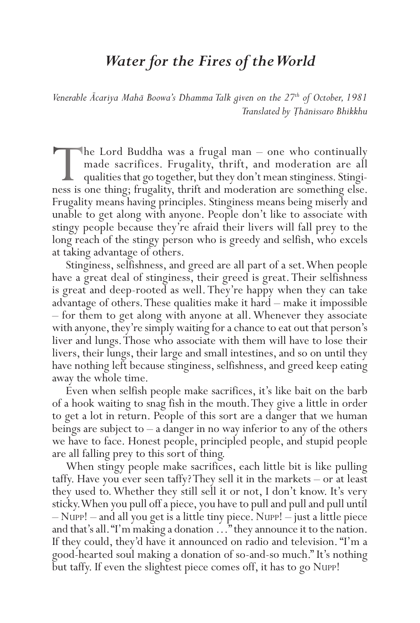## *Water for the Fires of the World*

*Venerable Ācariya Mahā Boowa's Dhamma Talk given on the 27th of October, 1981 Translated by Ṭhānissaro Bhikkhu*

The Lord Buddha was a frugal man – one who continually made sacrifices. Frugality, thrift, and moderation are all qualities that go together, but they don't mean stinginess. Stinginess is one thing; frugality, thrift and moderation are something else. Frugality means having principles. Stinginess means being miserly and unable to get along with anyone. People don't like to associate with stingy people because they're afraid their livers will fall prey to the long reach of the stingy person who is greedy and selfish, who excels at taking advantage of others.

Stinginess, selfishness, and greed are all part of a set. When people have a great deal of stinginess, their greed is great. Their selfishness is great and deep-rooted as well. They're happy when they can take advantage of others. These qualities make it hard – make it impossible – for them to get along with anyone at all. Whenever they associate with anyone, they're simply waiting for a chance to eat out that person's liver and lungs. Those who associate with them will have to lose their livers, their lungs, their large and small intestines, and so on until they have nothing left because stinginess, selfishness, and greed keep eating away the whole time.

Even when selfish people make sacrifices, it's like bait on the barb of a hook waiting to snag fish in the mouth. They give a little in order to get a lot in return. People of this sort are a danger that we human beings are subject to  $-$  a danger in no way inferior to any of the others we have to face. Honest people, principled people, and stupid people are all falling prey to this sort of thing.

When stingy people make sacrifices, each little bit is like pulling taffy. Have you ever seen taffy? They sell it in the markets – or at least they used to. Whether they still sell it or not, I don't know. It's very sticky. When you pull off a piece, you have to pull and pull and pull until – NUPP! – and all you get is a little tiny piece. NUPP! – just a little piece and that's all. "I'm making a donation …" they announce it to the nation. If they could, they'd have it announced on radio and television. "I'm a good-hearted soul making a donation of so-and-so much." It's nothing but taffy. If even the slightest piece comes off, it has to go NUPP!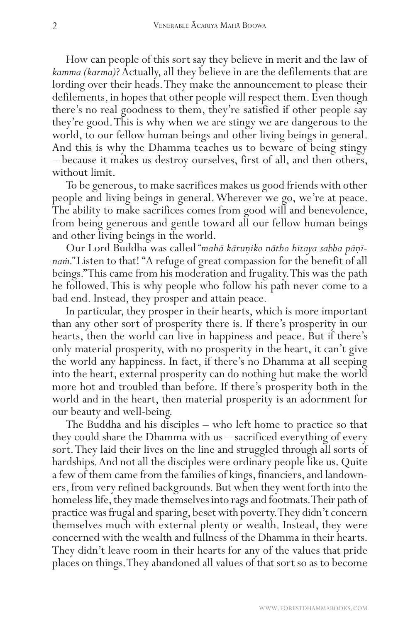How can people of this sort say they believe in merit and the law of *kamma (karma)*? Actually, all they believe in are the defilements that are lording over their heads. They make the announcement to please their defilements, in hopes that other people will respect them. Even though there's no real goodness to them, they're satisfied if other people say they're good. This is why when we are stingy we are dangerous to the world, to our fellow human beings and other living beings in general. And this is why the Dhamma teaches us to beware of being stingy – because it makes us destroy ourselves, first of all, and then others, without limit.

To be generous, to make sacrifices makes us good friends with other people and living beings in general. Wherever we go, we're at peace. The ability to make sacrifices comes from good will and benevolence, from being generous and gentle toward all our fellow human beings and other living beings in the world.

Our Lord Buddha was called *"mahā kāruṇiko nātho hitaya sabba pāṇīnaṁ."* Listen to that! "A refuge of great compassion for the benefit of all beings." This came from his moderation and frugality. This was the path he followed. This is why people who follow his path never come to a bad end. Instead, they prosper and attain peace.

In particular, they prosper in their hearts, which is more important than any other sort of prosperity there is. If there's prosperity in our hearts, then the world can live in happiness and peace. But if there's only material prosperity, with no prosperity in the heart, it can't give the world any happiness. In fact, if there's no Dhamma at all seeping into the heart, external prosperity can do nothing but make the world more hot and troubled than before. If there's prosperity both in the world and in the heart, then material prosperity is an adornment for our beauty and well-being.

The Buddha and his disciples – who left home to practice so that they could share the Dhamma with us – sacrificed everything of every sort. They laid their lives on the line and struggled through all sorts of hardships. And not all the disciples were ordinary people like us. Quite a few of them came from the families of kings, financiers, and landowners, from very refined backgrounds. But when they went forth into the homeless life, they made themselves into rags and footmats. Their path of practice was frugal and sparing, beset with poverty. They didn't concern themselves much with external plenty or wealth. Instead, they were concerned with the wealth and fullness of the Dhamma in their hearts. They didn't leave room in their hearts for any of the values that pride places on things. They abandoned all values of that sort so as to become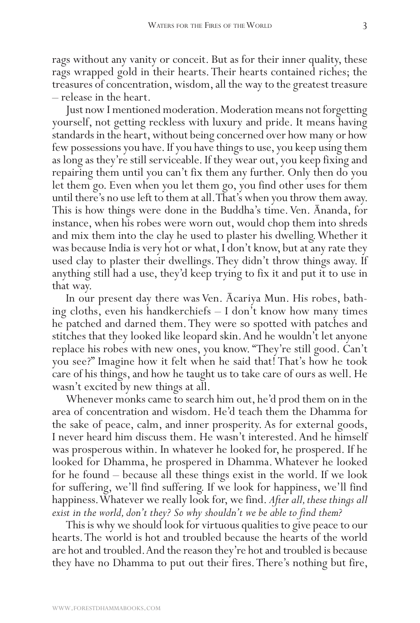rags without any vanity or conceit. But as for their inner quality, these rags wrapped gold in their hearts. Their hearts contained riches; the treasures of concentration, wisdom, all the way to the greatest treasure – release in the heart.

Just now I mentioned moderation. Moderation means not forgetting yourself, not getting reckless with luxury and pride. It means having standards in the heart, without being concerned over how many or how few possessions you have. If you have things to use, you keep using them as long as they're still serviceable. If they wear out, you keep fixing and repairing them until you can't fix them any further. Only then do you let them go. Even when you let them go, you find other uses for them until there's no use left to them at all. That's when you throw them away. This is how things were done in the Buddha's time. Ven. Ānanda, for instance, when his robes were worn out, would chop them into shreds and mix them into the clay he used to plaster his dwelling. Whether it was because India is very hot or what, I don't know, but at any rate they used clay to plaster their dwellings. They didn't throw things away. If anything still had a use, they'd keep trying to fix it and put it to use in that way.

In our present day there was Ven. Ācariya Mun. His robes, bathing cloths, even his handkerchiefs  $-1$  don't know how many times he patched and darned them. They were so spotted with patches and stitches that they looked like leopard skin. And he wouldn't let anyone replace his robes with new ones, you know. "They're still good. Can't you see?" Imagine how it felt when he said that! That's how he took care of his things, and how he taught us to take care of ours as well. He wasn't excited by new things at all.

Whenever monks came to search him out, he'd prod them on in the area of concentration and wisdom. He'd teach them the Dhamma for the sake of peace, calm, and inner prosperity. As for external goods, I never heard him discuss them. He wasn't interested. And he himself was prosperous within. In whatever he looked for, he prospered. If he looked for Dhamma, he prospered in Dhamma. Whatever he looked for he found – because all these things exist in the world. If we look for suffering, we'll find suffering. If we look for happiness, we'll find happiness. Whatever we really look for, we find. *After all, these things all exist in the world, don't they? So why shouldn't we be able to find them?*

This is why we should look for virtuous qualities to give peace to our hearts. The world is hot and troubled because the hearts of the world are hot and troubled. And the reason they're hot and troubled is because they have no Dhamma to put out their fires. There's nothing but fire,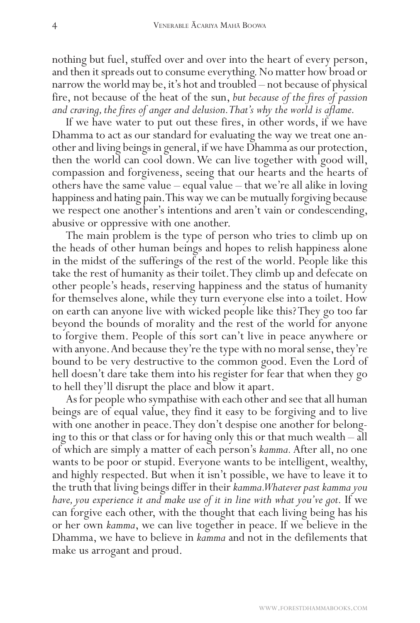nothing but fuel, stuffed over and over into the heart of every person, and then it spreads out to consume everything. No matter how broad or narrow the world may be, it's hot and troubled – not because of physical fire, not because of the heat of the sun, *but because of the fires of passion and craving, the fires of anger and delusion. That's why the world is aflame.*

If we have water to put out these fires, in other words, if we have Dhamma to act as our standard for evaluating the way we treat one another and living beings in general, if we have Dhamma as our protection, then the world can cool down. We can live together with good will, compassion and forgiveness, seeing that our hearts and the hearts of others have the same value – equal value – that we're all alike in loving happiness and hating pain. This way we can be mutually forgiving because we respect one another's intentions and aren't vain or condescending, abusive or oppressive with one another.

The main problem is the type of person who tries to climb up on the heads of other human beings and hopes to relish happiness alone in the midst of the sufferings of the rest of the world. People like this take the rest of humanity as their toilet. They climb up and defecate on other people's heads, reserving happiness and the status of humanity for themselves alone, while they turn everyone else into a toilet. How on earth can anyone live with wicked people like this? They go too far beyond the bounds of morality and the rest of the world for anyone to forgive them. People of this sort can't live in peace anywhere or with anyone. And because they're the type with no moral sense, they're bound to be very destructive to the common good. Even the Lord of hell doesn't dare take them into his register for fear that when they go to hell they'll disrupt the place and blow it apart.

As for people who sympathise with each other and see that all human beings are of equal value, they find it easy to be forgiving and to live with one another in peace. They don't despise one another for belonging to this or that class or for having only this or that much wealth – all of which are simply a matter of each person's *kamma.* After all, no one wants to be poor or stupid. Everyone wants to be intelligent, wealthy, and highly respected. But when it isn't possible, we have to leave it to the truth that living beings differ in their *kamma. Whatever past kamma you have, you experience it and make use of it in line with what you've got.* If we can forgive each other, with the thought that each living being has his or her own *kamma*, we can live together in peace. If we believe in the Dhamma, we have to believe in *kamma* and not in the defilements that make us arrogant and proud.